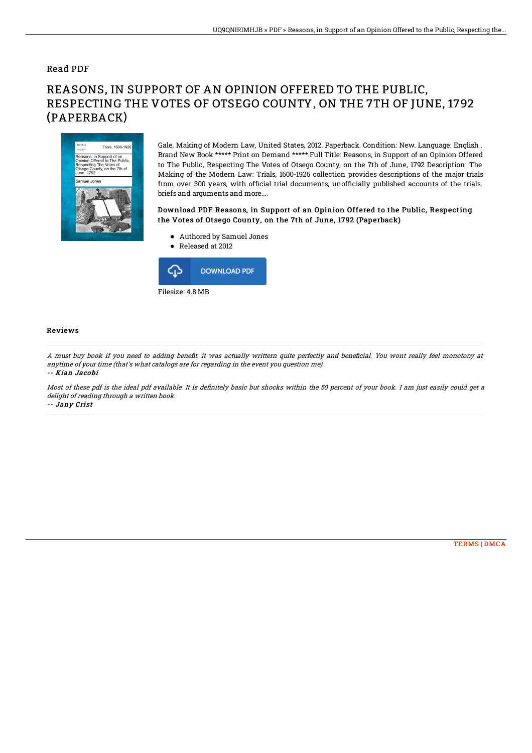### Read PDF

# REASONS, IN SUPPORT OF AN OPINION OFFERED TO THE PUBLIC, RESPECTING THE VOTES OF OTSEGO COUNTY, ON THE 7TH OF JUNE, 1792 (PAPERBACK)



Gale, Making of Modern Law, United States, 2012. Paperback. Condition: New. Language: English . Brand New Book \*\*\*\*\* Print on Demand \*\*\*\*\*.Full Title: Reasons, in Support of an Opinion Offered to The Public, Respecting The Votes of Otsego County, on the 7th of June, 1792 Description: The Making of the Modern Law: Trials, 1600-1926 collection provides descriptions of the major trials from over 300 years, with official trial documents, unofficially published accounts of the trials, briefs and arguments and more....

#### Download PDF Reasons, in Support of an Opinion Offered to the Public, Respecting the Votes of Otsego County, on the 7th of June, 1792 (Paperback)

- Authored by Samuel Jones
- Released at 2012



#### Reviews

A must buy book if you need to adding benefit. it was actually writtern quite perfectly and beneficial. You wont really feel monotony at anytime of your time (that's what catalogs are for regarding in the event you question me). -- Kian Jacobi

Most of these pdf is the ideal pdf available. It is definitely basic but shocks within the 50 percent of your book. I am just easily could get a delight of reading through <sup>a</sup> written book. -- Jany Crist